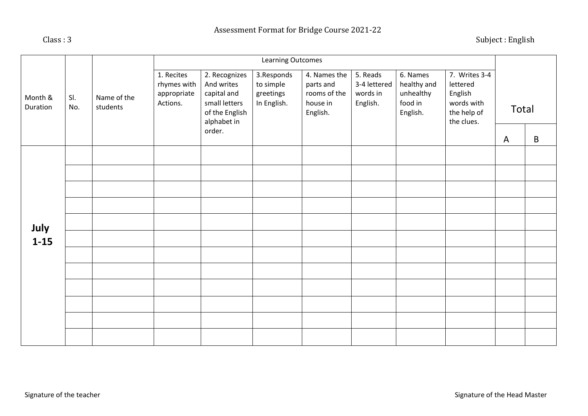Subject : English

|                     |            |                         | Learning Outcomes                                    |                                                                                                        |                                                     |                                                                   |                                                  |                                                             |                                                                                 |   |       |
|---------------------|------------|-------------------------|------------------------------------------------------|--------------------------------------------------------------------------------------------------------|-----------------------------------------------------|-------------------------------------------------------------------|--------------------------------------------------|-------------------------------------------------------------|---------------------------------------------------------------------------------|---|-------|
| Month &<br>Duration | SI.<br>No. | Name of the<br>students | 1. Recites<br>rhymes with<br>appropriate<br>Actions. | 2. Recognizes<br>And writes<br>capital and<br>small letters<br>of the English<br>alphabet in<br>order. | 3.Responds<br>to simple<br>greetings<br>In English. | 4. Names the<br>parts and<br>rooms of the<br>house in<br>English. | 5. Reads<br>3-4 lettered<br>words in<br>English. | 6. Names<br>healthy and<br>unhealthy<br>food in<br>English. | 7. Writes 3-4<br>lettered<br>English<br>words with<br>the help of<br>the clues. | A | Total |
|                     |            |                         |                                                      |                                                                                                        |                                                     |                                                                   |                                                  |                                                             |                                                                                 |   | B     |
|                     |            |                         |                                                      |                                                                                                        |                                                     |                                                                   |                                                  |                                                             |                                                                                 |   |       |
|                     |            |                         |                                                      |                                                                                                        |                                                     |                                                                   |                                                  |                                                             |                                                                                 |   |       |
|                     |            |                         |                                                      |                                                                                                        |                                                     |                                                                   |                                                  |                                                             |                                                                                 |   |       |
|                     |            |                         |                                                      |                                                                                                        |                                                     |                                                                   |                                                  |                                                             |                                                                                 |   |       |
| July                |            |                         |                                                      |                                                                                                        |                                                     |                                                                   |                                                  |                                                             |                                                                                 |   |       |
| $1 - 15$            |            |                         |                                                      |                                                                                                        |                                                     |                                                                   |                                                  |                                                             |                                                                                 |   |       |
|                     |            |                         |                                                      |                                                                                                        |                                                     |                                                                   |                                                  |                                                             |                                                                                 |   |       |
|                     |            |                         |                                                      |                                                                                                        |                                                     |                                                                   |                                                  |                                                             |                                                                                 |   |       |
|                     |            |                         |                                                      |                                                                                                        |                                                     |                                                                   |                                                  |                                                             |                                                                                 |   |       |
|                     |            |                         |                                                      |                                                                                                        |                                                     |                                                                   |                                                  |                                                             |                                                                                 |   |       |
|                     |            |                         |                                                      |                                                                                                        |                                                     |                                                                   |                                                  |                                                             |                                                                                 |   |       |
|                     |            |                         |                                                      |                                                                                                        |                                                     |                                                                   |                                                  |                                                             |                                                                                 |   |       |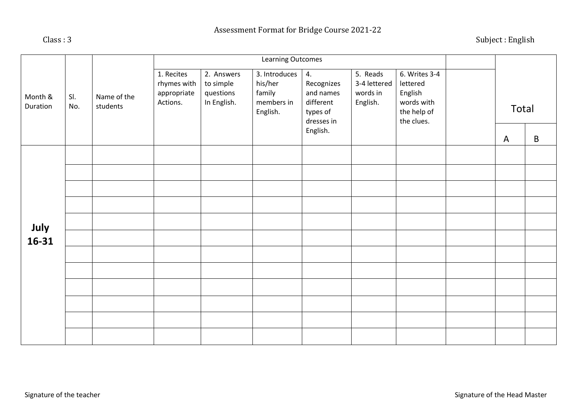| Month &<br>Duration |            |                         | Learning Outcomes                                    |                                                     |                                                              |                                                                                  |                                                  |                                                                                 |  |              |             |
|---------------------|------------|-------------------------|------------------------------------------------------|-----------------------------------------------------|--------------------------------------------------------------|----------------------------------------------------------------------------------|--------------------------------------------------|---------------------------------------------------------------------------------|--|--------------|-------------|
|                     | SI.<br>No. | Name of the<br>students | 1. Recites<br>rhymes with<br>appropriate<br>Actions. | 2. Answers<br>to simple<br>questions<br>In English. | 3. Introduces<br>his/her<br>family<br>members in<br>English. | 4.<br>Recognizes<br>and names<br>different<br>types of<br>dresses in<br>English. | 5. Reads<br>3-4 lettered<br>words in<br>English. | 6. Writes 3-4<br>lettered<br>English<br>words with<br>the help of<br>the clues. |  | Total        |             |
|                     |            |                         |                                                      |                                                     |                                                              |                                                                                  |                                                  |                                                                                 |  | $\mathsf{A}$ | $\mathsf B$ |
|                     |            |                         |                                                      |                                                     |                                                              |                                                                                  |                                                  |                                                                                 |  |              |             |
| July<br>16-31       |            |                         |                                                      |                                                     |                                                              |                                                                                  |                                                  |                                                                                 |  |              |             |
|                     |            |                         |                                                      |                                                     |                                                              |                                                                                  |                                                  |                                                                                 |  |              |             |
|                     |            |                         |                                                      |                                                     |                                                              |                                                                                  |                                                  |                                                                                 |  |              |             |
|                     |            |                         |                                                      |                                                     |                                                              |                                                                                  |                                                  |                                                                                 |  |              |             |
|                     |            |                         |                                                      |                                                     |                                                              |                                                                                  |                                                  |                                                                                 |  |              |             |
|                     |            |                         |                                                      |                                                     |                                                              |                                                                                  |                                                  |                                                                                 |  |              |             |
|                     |            |                         |                                                      |                                                     |                                                              |                                                                                  |                                                  |                                                                                 |  |              |             |
|                     |            |                         |                                                      |                                                     |                                                              |                                                                                  |                                                  |                                                                                 |  |              |             |
|                     |            |                         |                                                      |                                                     |                                                              |                                                                                  |                                                  |                                                                                 |  |              |             |
|                     |            |                         |                                                      |                                                     |                                                              |                                                                                  |                                                  |                                                                                 |  |              |             |
|                     |            |                         |                                                      |                                                     |                                                              |                                                                                  |                                                  |                                                                                 |  |              |             |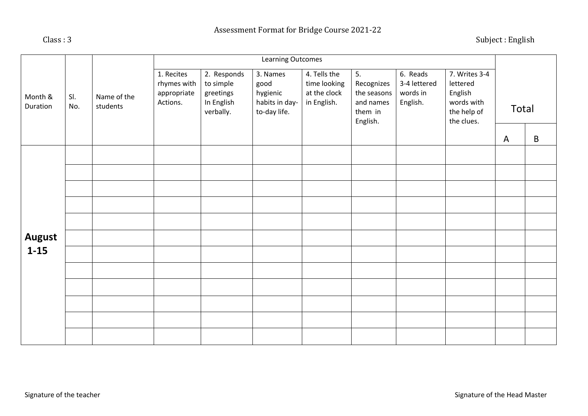|                     |            |                         | Learning Outcomes                                    |                                                                  |                                                                |                                                             |                                                                     |                                                  |                                                                                 |              |             |
|---------------------|------------|-------------------------|------------------------------------------------------|------------------------------------------------------------------|----------------------------------------------------------------|-------------------------------------------------------------|---------------------------------------------------------------------|--------------------------------------------------|---------------------------------------------------------------------------------|--------------|-------------|
| Month &<br>Duration | SI.<br>No. | Name of the<br>students | 1. Recites<br>rhymes with<br>appropriate<br>Actions. | 2. Responds<br>to simple<br>greetings<br>In English<br>verbally. | 3. Names<br>good<br>hygienic<br>habits in day-<br>to-day life. | 4. Tells the<br>time looking<br>at the clock<br>in English. | 5.<br>Recognizes<br>the seasons<br>and names<br>them in<br>English. | 6. Reads<br>3-4 lettered<br>words in<br>English. | 7. Writes 3-4<br>lettered<br>English<br>words with<br>the help of<br>the clues. |              | Total       |
|                     |            |                         |                                                      |                                                                  |                                                                |                                                             |                                                                     |                                                  |                                                                                 | $\mathsf{A}$ | $\mathsf B$ |
|                     |            |                         |                                                      |                                                                  |                                                                |                                                             |                                                                     |                                                  |                                                                                 |              |             |
|                     |            |                         |                                                      |                                                                  |                                                                |                                                             |                                                                     |                                                  |                                                                                 |              |             |
|                     |            |                         |                                                      |                                                                  |                                                                |                                                             |                                                                     |                                                  |                                                                                 |              |             |
|                     |            |                         |                                                      |                                                                  |                                                                |                                                             |                                                                     |                                                  |                                                                                 |              |             |
|                     |            |                         |                                                      |                                                                  |                                                                |                                                             |                                                                     |                                                  |                                                                                 |              |             |
| <b>August</b>       |            |                         |                                                      |                                                                  |                                                                |                                                             |                                                                     |                                                  |                                                                                 |              |             |
| $1 - 15$            |            |                         |                                                      |                                                                  |                                                                |                                                             |                                                                     |                                                  |                                                                                 |              |             |
|                     |            |                         |                                                      |                                                                  |                                                                |                                                             |                                                                     |                                                  |                                                                                 |              |             |
|                     |            |                         |                                                      |                                                                  |                                                                |                                                             |                                                                     |                                                  |                                                                                 |              |             |
|                     |            |                         |                                                      |                                                                  |                                                                |                                                             |                                                                     |                                                  |                                                                                 |              |             |
|                     |            |                         |                                                      |                                                                  |                                                                |                                                             |                                                                     |                                                  |                                                                                 |              |             |
|                     |            |                         |                                                      |                                                                  |                                                                |                                                             |                                                                     |                                                  |                                                                                 |              |             |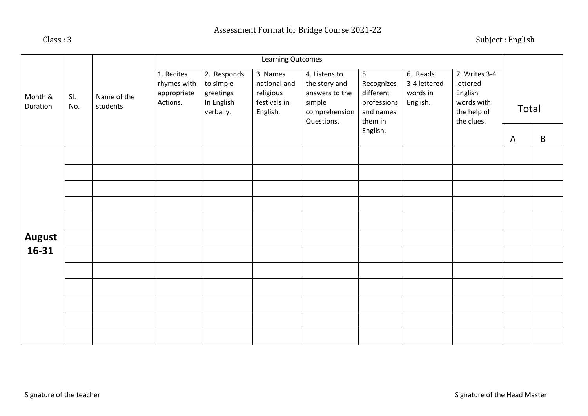| Month &<br>Duration    |            |                         | Learning Outcomes                                    |                                                                  |                                                                   |                                                                                           |                                                                                  |                                                  |                                                                                 |              |   |
|------------------------|------------|-------------------------|------------------------------------------------------|------------------------------------------------------------------|-------------------------------------------------------------------|-------------------------------------------------------------------------------------------|----------------------------------------------------------------------------------|--------------------------------------------------|---------------------------------------------------------------------------------|--------------|---|
|                        | SI.<br>No. | Name of the<br>students | 1. Recites<br>rhymes with<br>appropriate<br>Actions. | 2. Responds<br>to simple<br>greetings<br>In English<br>verbally. | 3. Names<br>national and<br>religious<br>festivals in<br>English. | 4. Listens to<br>the story and<br>answers to the<br>simple<br>comprehension<br>Questions. | 5.<br>Recognizes<br>different<br>professions<br>and names<br>them in<br>English. | 6. Reads<br>3-4 lettered<br>words in<br>English. | 7. Writes 3-4<br>lettered<br>English<br>words with<br>the help of<br>the clues. | Total        |   |
|                        |            |                         |                                                      |                                                                  |                                                                   |                                                                                           |                                                                                  |                                                  |                                                                                 | $\mathsf{A}$ | B |
|                        |            |                         |                                                      |                                                                  |                                                                   |                                                                                           |                                                                                  |                                                  |                                                                                 |              |   |
|                        |            |                         |                                                      |                                                                  |                                                                   |                                                                                           |                                                                                  |                                                  |                                                                                 |              |   |
|                        |            |                         |                                                      |                                                                  |                                                                   |                                                                                           |                                                                                  |                                                  |                                                                                 |              |   |
|                        |            |                         |                                                      |                                                                  |                                                                   |                                                                                           |                                                                                  |                                                  |                                                                                 |              |   |
|                        |            |                         |                                                      |                                                                  |                                                                   |                                                                                           |                                                                                  |                                                  |                                                                                 |              |   |
| <b>August</b><br>16-31 |            |                         |                                                      |                                                                  |                                                                   |                                                                                           |                                                                                  |                                                  |                                                                                 |              |   |
|                        |            |                         |                                                      |                                                                  |                                                                   |                                                                                           |                                                                                  |                                                  |                                                                                 |              |   |
|                        |            |                         |                                                      |                                                                  |                                                                   |                                                                                           |                                                                                  |                                                  |                                                                                 |              |   |
|                        |            |                         |                                                      |                                                                  |                                                                   |                                                                                           |                                                                                  |                                                  |                                                                                 |              |   |
|                        |            |                         |                                                      |                                                                  |                                                                   |                                                                                           |                                                                                  |                                                  |                                                                                 |              |   |
|                        |            |                         |                                                      |                                                                  |                                                                   |                                                                                           |                                                                                  |                                                  |                                                                                 |              |   |
|                        |            |                         |                                                      |                                                                  |                                                                   |                                                                                           |                                                                                  |                                                  |                                                                                 |              |   |